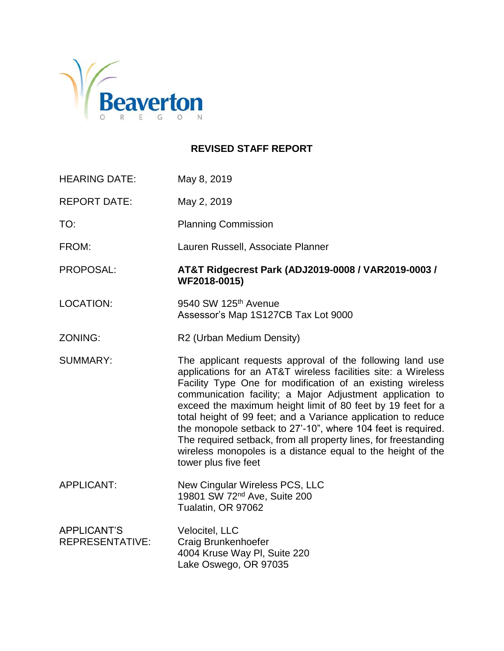

# **REVISED STAFF REPORT**

| <b>HEARING DATE:</b>                         | May 8, 2019                                                                                                                                                                                                                                                                                                                                                                                                                                                                                                                                                                                                     |  |
|----------------------------------------------|-----------------------------------------------------------------------------------------------------------------------------------------------------------------------------------------------------------------------------------------------------------------------------------------------------------------------------------------------------------------------------------------------------------------------------------------------------------------------------------------------------------------------------------------------------------------------------------------------------------------|--|
| <b>REPORT DATE:</b>                          | May 2, 2019                                                                                                                                                                                                                                                                                                                                                                                                                                                                                                                                                                                                     |  |
| TO:                                          | <b>Planning Commission</b>                                                                                                                                                                                                                                                                                                                                                                                                                                                                                                                                                                                      |  |
| FROM:                                        | Lauren Russell, Associate Planner                                                                                                                                                                                                                                                                                                                                                                                                                                                                                                                                                                               |  |
| PROPOSAL:                                    | AT&T Ridgecrest Park (ADJ2019-0008 / VAR2019-0003 /<br>WF2018-0015)                                                                                                                                                                                                                                                                                                                                                                                                                                                                                                                                             |  |
| <b>LOCATION:</b>                             | 9540 SW 125 <sup>th</sup> Avenue<br>Assessor's Map 1S127CB Tax Lot 9000                                                                                                                                                                                                                                                                                                                                                                                                                                                                                                                                         |  |
| ZONING:                                      | R2 (Urban Medium Density)                                                                                                                                                                                                                                                                                                                                                                                                                                                                                                                                                                                       |  |
| <b>SUMMARY:</b>                              | The applicant requests approval of the following land use<br>applications for an AT&T wireless facilities site: a Wireless<br>Facility Type One for modification of an existing wireless<br>communication facility; a Major Adjustment application to<br>exceed the maximum height limit of 80 feet by 19 feet for a<br>total height of 99 feet; and a Variance application to reduce<br>the monopole setback to 27'-10", where 104 feet is required.<br>The required setback, from all property lines, for freestanding<br>wireless monopoles is a distance equal to the height of the<br>tower plus five feet |  |
| <b>APPLICANT:</b>                            | New Cingular Wireless PCS, LLC<br>19801 SW 72 <sup>nd</sup> Ave, Suite 200<br>Tualatin, OR 97062                                                                                                                                                                                                                                                                                                                                                                                                                                                                                                                |  |
| <b>APPLICANT'S</b><br><b>REPRESENTATIVE:</b> | Velocitel, LLC<br>Craig Brunkenhoefer<br>4004 Kruse Way PI, Suite 220<br>Lake Oswego, OR 97035                                                                                                                                                                                                                                                                                                                                                                                                                                                                                                                  |  |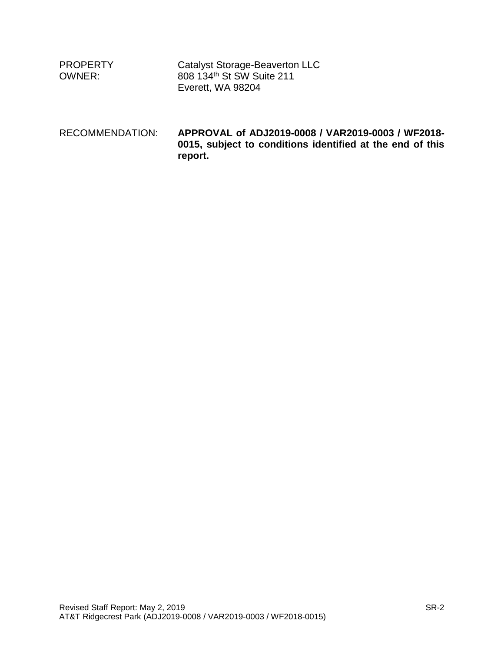| <b>PROPERTY</b><br>OWNER: | Catalyst Storage-Beaverton LLC<br>808 134th St SW Suite 211<br>Everett, WA 98204                                          |
|---------------------------|---------------------------------------------------------------------------------------------------------------------------|
| RECOMMENDATION:           | APPROVAL of ADJ2019-0008 / VAR2019-0003 / WF2018-<br>0015, subject to conditions identified at the end of this<br>report. |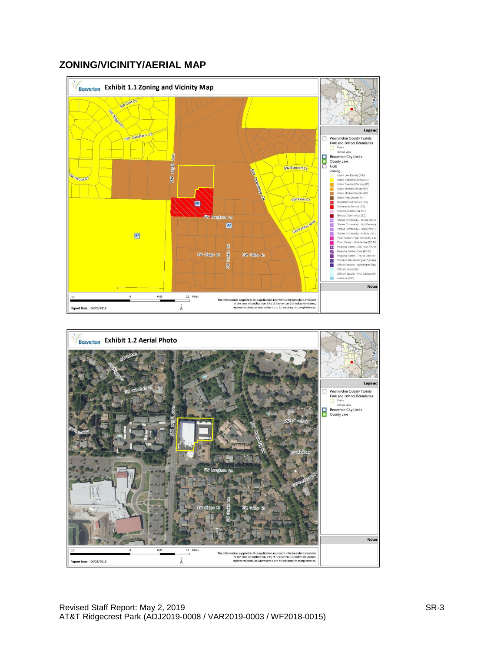# **ZONING/VICINITY/AERIAL MAP**



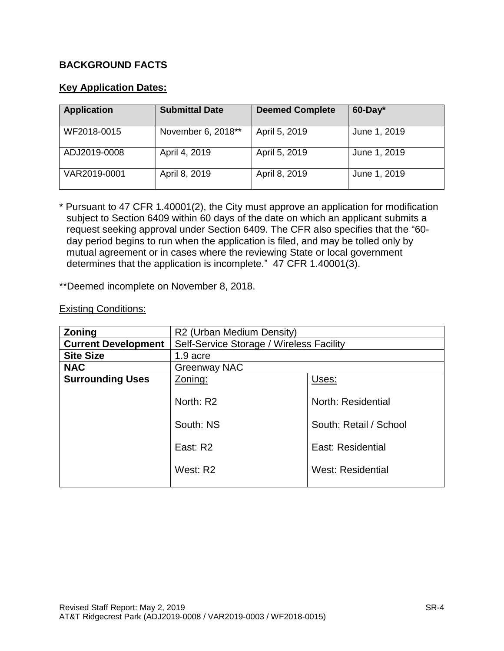# **BACKGROUND FACTS**

## **Key Application Dates:**

| <b>Application</b> | <b>Submittal Date</b> | <b>Deemed Complete</b> | $60$ -Day*   |
|--------------------|-----------------------|------------------------|--------------|
| WF2018-0015        | November 6, 2018**    | April 5, 2019          | June 1, 2019 |
| ADJ2019-0008       | April 4, 2019         | April 5, 2019          | June 1, 2019 |
| VAR2019-0001       | April 8, 2019         | April 8, 2019          | June 1, 2019 |

\* Pursuant to 47 CFR 1.40001(2), the City must approve an application for modification subject to Section 6409 within 60 days of the date on which an applicant submits a request seeking approval under Section 6409. The CFR also specifies that the "60 day period begins to run when the application is filed, and may be tolled only by mutual agreement or in cases where the reviewing State or local government determines that the application is incomplete." 47 CFR 1.40001(3).

\*\*Deemed incomplete on November 8, 2018.

#### Existing Conditions:

| <b>Zoning</b>              | R2 (Urban Medium Density)                |                          |  |
|----------------------------|------------------------------------------|--------------------------|--|
| <b>Current Development</b> | Self-Service Storage / Wireless Facility |                          |  |
| <b>Site Size</b>           | 1.9 acre                                 |                          |  |
| <b>NAC</b>                 | Greenway NAC                             |                          |  |
| <b>Surrounding Uses</b>    | Zoning:                                  | Uses:                    |  |
|                            |                                          |                          |  |
|                            | North: R2                                | North: Residential       |  |
|                            | South: NS                                | South: Retail / School   |  |
|                            | East: R2                                 | <b>East: Residential</b> |  |
|                            | West: R2                                 | <b>West: Residential</b> |  |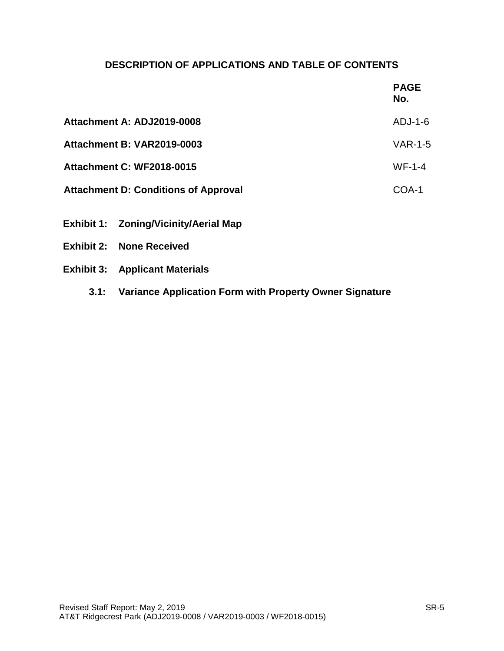# **DESCRIPTION OF APPLICATIONS AND TABLE OF CONTENTS**

|                                             | <b>PAGE</b><br>No. |
|---------------------------------------------|--------------------|
| Attachment A: ADJ2019-0008                  | $ADJ-1-6$          |
| Attachment B: VAR2019-0003                  | <b>VAR-1-5</b>     |
| <b>Attachment C: WF2018-0015</b>            | $WF-1-4$           |
| <b>Attachment D: Conditions of Approval</b> | COA-1              |
|                                             |                    |

- **Exhibit 1: Zoning/Vicinity/Aerial Map**
- **Exhibit 2: None Received**
- **Exhibit 3: Applicant Materials** 
	- **3.1: Variance Application Form with Property Owner Signature**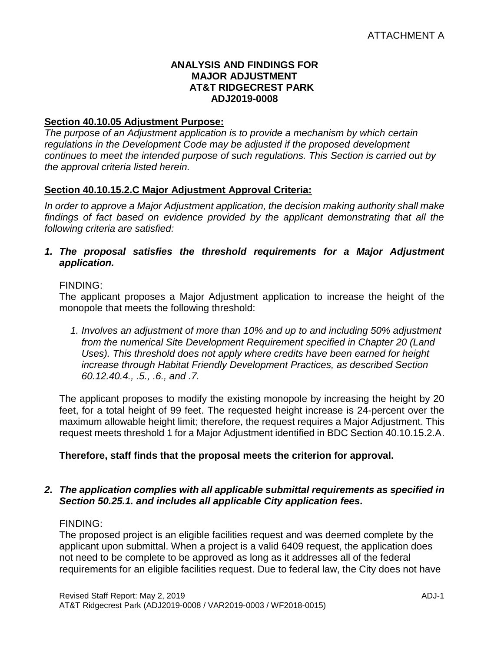### **ANALYSIS AND FINDINGS FOR MAJOR ADJUSTMENT AT&T RIDGECREST PARK ADJ2019-0008**

## **Section 40.10.05 Adjustment Purpose:**

*The purpose of an Adjustment application is to provide a mechanism by which certain regulations in the Development Code may be adjusted if the proposed development continues to meet the intended purpose of such regulations. This Section is carried out by the approval criteria listed herein.*

# **Section 40.10.15.2.C Major Adjustment Approval Criteria:**

*In order to approve a Major Adjustment application, the decision making authority shall make findings of fact based on evidence provided by the applicant demonstrating that all the following criteria are satisfied:*

*1. The proposal satisfies the threshold requirements for a Major Adjustment application.*

### FINDING:

The applicant proposes a Major Adjustment application to increase the height of the monopole that meets the following threshold:

*1. Involves an adjustment of more than 10% and up to and including 50% adjustment from the numerical Site Development Requirement specified in Chapter 20 (Land Uses). This threshold does not apply where credits have been earned for height increase through Habitat Friendly Development Practices, as described Section 60.12.40.4., .5., .6., and .7.*

The applicant proposes to modify the existing monopole by increasing the height by 20 feet, for a total height of 99 feet. The requested height increase is 24-percent over the maximum allowable height limit; therefore, the request requires a Major Adjustment. This request meets threshold 1 for a Major Adjustment identified in BDC Section 40.10.15.2.A.

## **Therefore, staff finds that the proposal meets the criterion for approval.**

### *2. The application complies with all applicable submittal requirements as specified in Section 50.25.1. and includes all applicable City application fees.*

## FINDING:

The proposed project is an eligible facilities request and was deemed complete by the applicant upon submittal. When a project is a valid 6409 request, the application does not need to be complete to be approved as long as it addresses all of the federal requirements for an eligible facilities request. Due to federal law, the City does not have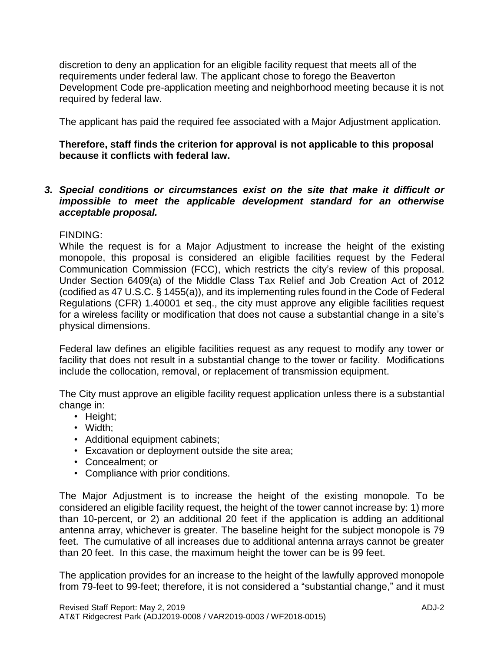discretion to deny an application for an eligible facility request that meets all of the requirements under federal law. The applicant chose to forego the Beaverton Development Code pre-application meeting and neighborhood meeting because it is not required by federal law.

The applicant has paid the required fee associated with a Major Adjustment application.

### **Therefore, staff finds the criterion for approval is not applicable to this proposal because it conflicts with federal law.**

*3. Special conditions or circumstances exist on the site that make it difficult or impossible to meet the applicable development standard for an otherwise acceptable proposal.*

### FINDING:

While the request is for a Major Adjustment to increase the height of the existing monopole, this proposal is considered an eligible facilities request by the Federal Communication Commission (FCC), which restricts the city's review of this proposal. Under Section 6409(a) of the Middle Class Tax Relief and Job Creation Act of 2012 (codified as 47 U.S.C. § 1455(a)), and its implementing rules found in the Code of Federal Regulations (CFR) 1.40001 et seq., the city must approve any eligible facilities request for a wireless facility or modification that does not cause a substantial change in a site's physical dimensions.

Federal law defines an eligible facilities request as any request to modify any tower or facility that does not result in a substantial change to the tower or facility. Modifications include the collocation, removal, or replacement of transmission equipment.

The City must approve an eligible facility request application unless there is a substantial change in:

- Height;
- Width;
- Additional equipment cabinets;
- Excavation or deployment outside the site area;
- Concealment; or
- Compliance with prior conditions.

The Major Adjustment is to increase the height of the existing monopole. To be considered an eligible facility request, the height of the tower cannot increase by: 1) more than 10-percent, or 2) an additional 20 feet if the application is adding an additional antenna array, whichever is greater. The baseline height for the subject monopole is 79 feet. The cumulative of all increases due to additional antenna arrays cannot be greater than 20 feet. In this case, the maximum height the tower can be is 99 feet.

The application provides for an increase to the height of the lawfully approved monopole from 79-feet to 99-feet; therefore, it is not considered a "substantial change," and it must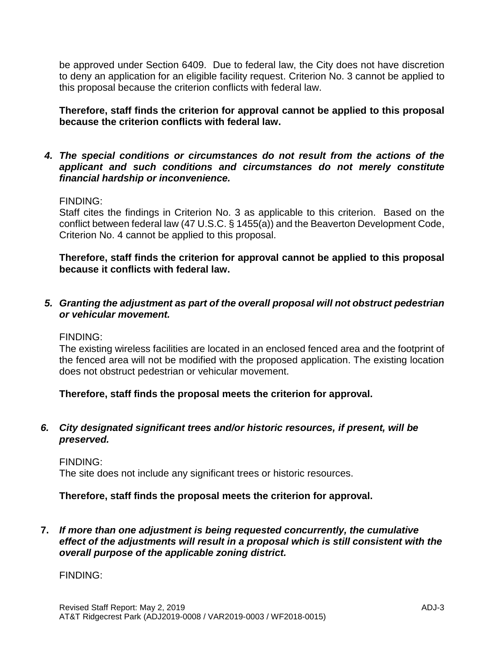be approved under Section 6409. Due to federal law, the City does not have discretion to deny an application for an eligible facility request. Criterion No. 3 cannot be applied to this proposal because the criterion conflicts with federal law.

**Therefore, staff finds the criterion for approval cannot be applied to this proposal because the criterion conflicts with federal law.**

*4. The special conditions or circumstances do not result from the actions of the applicant and such conditions and circumstances do not merely constitute financial hardship or inconvenience.*

### FINDING:

Staff cites the findings in Criterion No. 3 as applicable to this criterion. Based on the conflict between federal law (47 U.S.C. § 1455(a)) and the Beaverton Development Code, Criterion No. 4 cannot be applied to this proposal.

**Therefore, staff finds the criterion for approval cannot be applied to this proposal because it conflicts with federal law.**

*5. Granting the adjustment as part of the overall proposal will not obstruct pedestrian or vehicular movement.*

FINDING:

The existing wireless facilities are located in an enclosed fenced area and the footprint of the fenced area will not be modified with the proposed application. The existing location does not obstruct pedestrian or vehicular movement.

**Therefore, staff finds the proposal meets the criterion for approval.**

### *6. City designated significant trees and/or historic resources, if present, will be preserved.*

FINDING:

The site does not include any significant trees or historic resources.

## **Therefore, staff finds the proposal meets the criterion for approval.**

**7.** *If more than one adjustment is being requested concurrently, the cumulative effect of the adjustments will result in a proposal which is still consistent with the overall purpose of the applicable zoning district.*

## FINDING: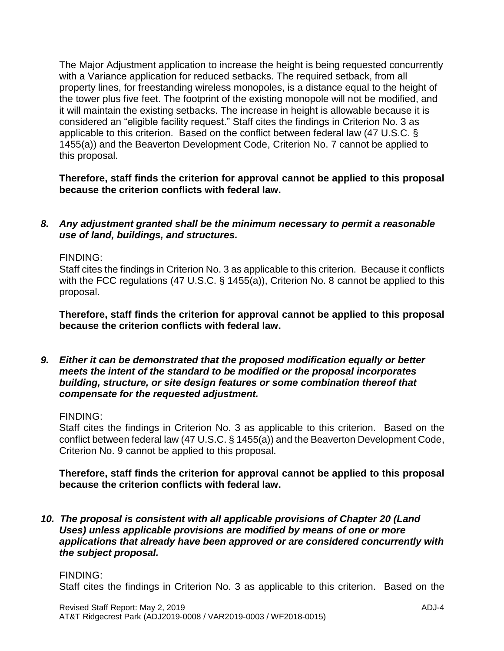The Major Adjustment application to increase the height is being requested concurrently with a Variance application for reduced setbacks. The required setback, from all property lines, for freestanding wireless monopoles, is a distance equal to the height of the tower plus five feet. The footprint of the existing monopole will not be modified, and it will maintain the existing setbacks. The increase in height is allowable because it is considered an "eligible facility request." Staff cites the findings in Criterion No. 3 as applicable to this criterion. Based on the conflict between federal law (47 U.S.C. § 1455(a)) and the Beaverton Development Code, Criterion No. 7 cannot be applied to this proposal.

**Therefore, staff finds the criterion for approval cannot be applied to this proposal because the criterion conflicts with federal law.**

### *8. Any adjustment granted shall be the minimum necessary to permit a reasonable use of land, buildings, and structures.*

FINDING:

Staff cites the findings in Criterion No. 3 as applicable to this criterion. Because it conflicts with the FCC regulations (47 U.S.C. § 1455(a)), Criterion No. 8 cannot be applied to this proposal.

**Therefore, staff finds the criterion for approval cannot be applied to this proposal because the criterion conflicts with federal law.**

*9. Either it can be demonstrated that the proposed modification equally or better meets the intent of the standard to be modified or the proposal incorporates building, structure, or site design features or some combination thereof that compensate for the requested adjustment.*

FINDING:

Staff cites the findings in Criterion No. 3 as applicable to this criterion. Based on the conflict between federal law (47 U.S.C. § 1455(a)) and the Beaverton Development Code, Criterion No. 9 cannot be applied to this proposal.

**Therefore, staff finds the criterion for approval cannot be applied to this proposal because the criterion conflicts with federal law.**

*10. The proposal is consistent with all applicable provisions of Chapter 20 (Land Uses) unless applicable provisions are modified by means of one or more applications that already have been approved or are considered concurrently with the subject proposal.*

## FINDING:

Staff cites the findings in Criterion No. 3 as applicable to this criterion. Based on the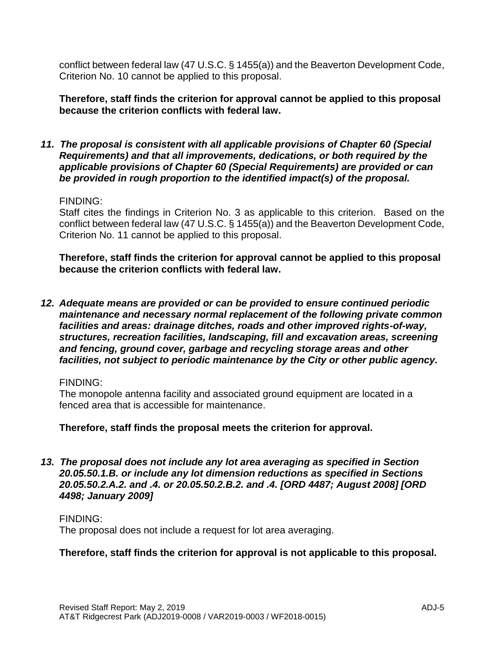conflict between federal law (47 U.S.C. § 1455(a)) and the Beaverton Development Code, Criterion No. 10 cannot be applied to this proposal.

**Therefore, staff finds the criterion for approval cannot be applied to this proposal because the criterion conflicts with federal law.**

*11. The proposal is consistent with all applicable provisions of Chapter 60 (Special Requirements) and that all improvements, dedications, or both required by the applicable provisions of Chapter 60 (Special Requirements) are provided or can be provided in rough proportion to the identified impact(s) of the proposal.*

#### FINDING:

Staff cites the findings in Criterion No. 3 as applicable to this criterion. Based on the conflict between federal law (47 U.S.C. § 1455(a)) and the Beaverton Development Code, Criterion No. 11 cannot be applied to this proposal.

**Therefore, staff finds the criterion for approval cannot be applied to this proposal because the criterion conflicts with federal law.**

*12. Adequate means are provided or can be provided to ensure continued periodic maintenance and necessary normal replacement of the following private common facilities and areas: drainage ditches, roads and other improved rights-of-way, structures, recreation facilities, landscaping, fill and excavation areas, screening and fencing, ground cover, garbage and recycling storage areas and other facilities, not subject to periodic maintenance by the City or other public agency.*

#### FINDING:

The monopole antenna facility and associated ground equipment are located in a fenced area that is accessible for maintenance.

**Therefore, staff finds the proposal meets the criterion for approval.**

*13. The proposal does not include any lot area averaging as specified in Section 20.05.50.1.B. or include any lot dimension reductions as specified in Sections 20.05.50.2.A.2. and .4. or 20.05.50.2.B.2. and .4. [ORD 4487; August 2008] [ORD 4498; January 2009]*

#### FINDING:

The proposal does not include a request for lot area averaging.

## **Therefore, staff finds the criterion for approval is not applicable to this proposal.**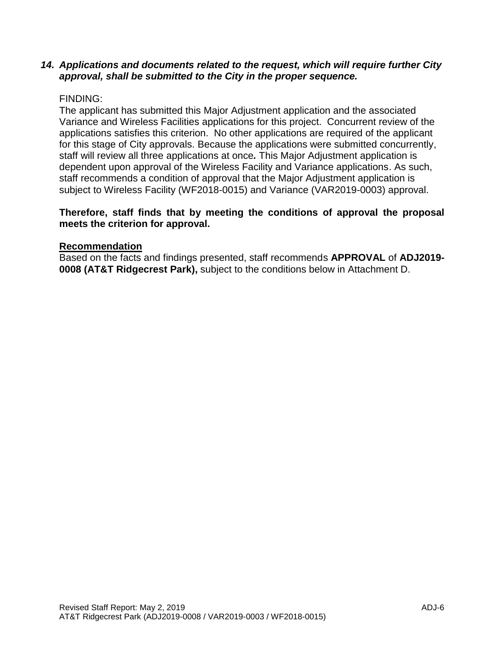### *14. Applications and documents related to the request, which will require further City approval, shall be submitted to the City in the proper sequence.*

### FINDING:

The applicant has submitted this Major Adjustment application and the associated Variance and Wireless Facilities applications for this project. Concurrent review of the applications satisfies this criterion. No other applications are required of the applicant for this stage of City approvals. Because the applications were submitted concurrently, staff will review all three applications at once*.* This Major Adjustment application is dependent upon approval of the Wireless Facility and Variance applications. As such, staff recommends a condition of approval that the Major Adjustment application is subject to Wireless Facility (WF2018-0015) and Variance (VAR2019-0003) approval.

### **Therefore, staff finds that by meeting the conditions of approval the proposal meets the criterion for approval.**

#### **Recommendation**

Based on the facts and findings presented, staff recommends **APPROVAL** of **ADJ2019- 0008 (AT&T Ridgecrest Park),** subject to the conditions below in Attachment D.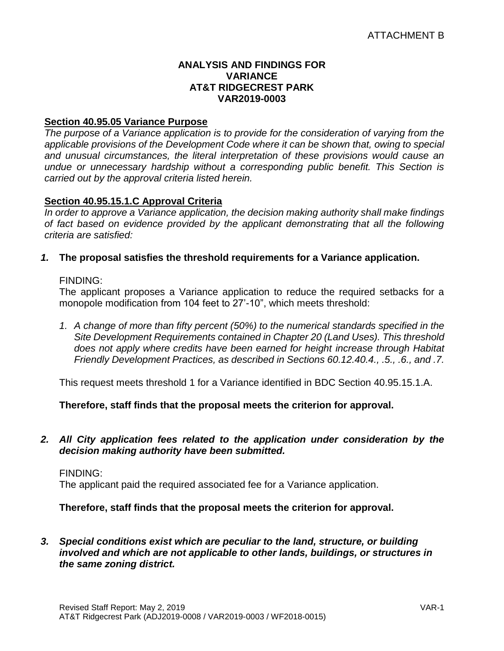### **ANALYSIS AND FINDINGS FOR VARIANCE AT&T RIDGECREST PARK VAR2019-0003**

### **Section 40.95.05 Variance Purpose**

*The purpose of a Variance application is to provide for the consideration of varying from the applicable provisions of the Development Code where it can be shown that, owing to special and unusual circumstances, the literal interpretation of these provisions would cause an undue or unnecessary hardship without a corresponding public benefit. This Section is carried out by the approval criteria listed herein.*

## **Section 40.95.15.1.C Approval Criteria**

*In order to approve a Variance application, the decision making authority shall make findings of fact based on evidence provided by the applicant demonstrating that all the following criteria are satisfied:*

### *1.* **The proposal satisfies the threshold requirements for a Variance application.**

#### FINDING:

The applicant proposes a Variance application to reduce the required setbacks for a monopole modification from 104 feet to 27'-10", which meets threshold:

*1. A change of more than fifty percent (50%) to the numerical standards specified in the Site Development Requirements contained in Chapter 20 (Land Uses). This threshold does not apply where credits have been earned for height increase through Habitat Friendly Development Practices, as described in Sections 60.12.40.4., .5., .6., and .7.*

This request meets threshold 1 for a Variance identified in BDC Section 40.95.15.1.A.

**Therefore, staff finds that the proposal meets the criterion for approval.**

*2. All City application fees related to the application under consideration by the decision making authority have been submitted.*

#### FINDING:

The applicant paid the required associated fee for a Variance application.

## **Therefore, staff finds that the proposal meets the criterion for approval.**

*3. Special conditions exist which are peculiar to the land, structure, or building involved and which are not applicable to other lands, buildings, or structures in the same zoning district.*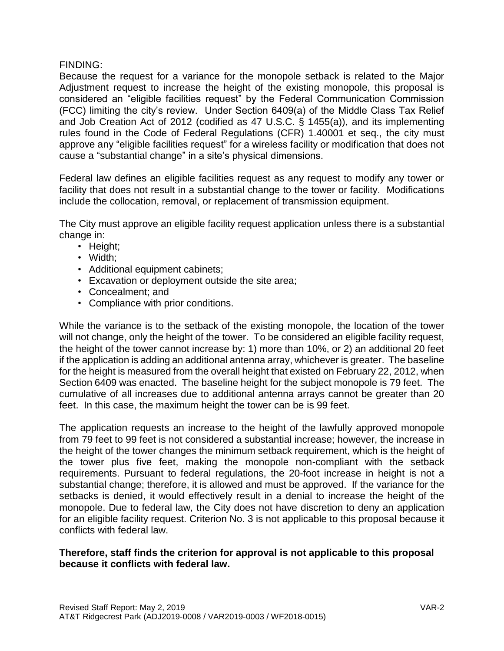### FINDING:

Because the request for a variance for the monopole setback is related to the Major Adjustment request to increase the height of the existing monopole, this proposal is considered an "eligible facilities request" by the Federal Communication Commission (FCC) limiting the city's review. Under Section 6409(a) of the Middle Class Tax Relief and Job Creation Act of 2012 (codified as 47 U.S.C. § 1455(a)), and its implementing rules found in the Code of Federal Regulations (CFR) 1.40001 et seq., the city must approve any "eligible facilities request" for a wireless facility or modification that does not cause a "substantial change" in a site's physical dimensions.

Federal law defines an eligible facilities request as any request to modify any tower or facility that does not result in a substantial change to the tower or facility. Modifications include the collocation, removal, or replacement of transmission equipment.

The City must approve an eligible facility request application unless there is a substantial change in:

- Height;
- Width;
- Additional equipment cabinets;
- Excavation or deployment outside the site area;
- Concealment; and
- Compliance with prior conditions.

While the variance is to the setback of the existing monopole, the location of the tower will not change, only the height of the tower. To be considered an eligible facility request, the height of the tower cannot increase by: 1) more than 10%, or 2) an additional 20 feet if the application is adding an additional antenna array, whichever is greater. The baseline for the height is measured from the overall height that existed on February 22, 2012, when Section 6409 was enacted. The baseline height for the subject monopole is 79 feet. The cumulative of all increases due to additional antenna arrays cannot be greater than 20 feet. In this case, the maximum height the tower can be is 99 feet.

The application requests an increase to the height of the lawfully approved monopole from 79 feet to 99 feet is not considered a substantial increase; however, the increase in the height of the tower changes the minimum setback requirement, which is the height of the tower plus five feet, making the monopole non-compliant with the setback requirements. Pursuant to federal regulations, the 20-foot increase in height is not a substantial change; therefore, it is allowed and must be approved. If the variance for the setbacks is denied, it would effectively result in a denial to increase the height of the monopole. Due to federal law, the City does not have discretion to deny an application for an eligible facility request. Criterion No. 3 is not applicable to this proposal because it conflicts with federal law.

## **Therefore, staff finds the criterion for approval is not applicable to this proposal because it conflicts with federal law.**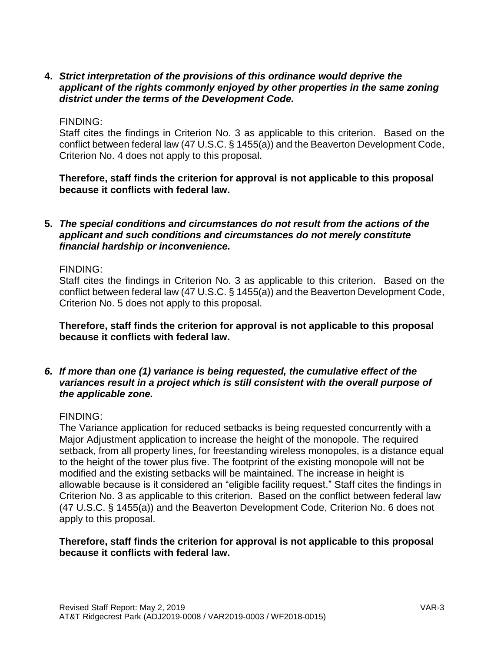## **4.** *Strict interpretation of the provisions of this ordinance would deprive the applicant of the rights commonly enjoyed by other properties in the same zoning district under the terms of the Development Code.*

### FINDING:

Staff cites the findings in Criterion No. 3 as applicable to this criterion. Based on the conflict between federal law (47 U.S.C. § 1455(a)) and the Beaverton Development Code, Criterion No. 4 does not apply to this proposal.

**Therefore, staff finds the criterion for approval is not applicable to this proposal because it conflicts with federal law.**

### **5.** *The special conditions and circumstances do not result from the actions of the applicant and such conditions and circumstances do not merely constitute financial hardship or inconvenience.*

### FINDING:

Staff cites the findings in Criterion No. 3 as applicable to this criterion. Based on the conflict between federal law (47 U.S.C. § 1455(a)) and the Beaverton Development Code, Criterion No. 5 does not apply to this proposal.

**Therefore, staff finds the criterion for approval is not applicable to this proposal because it conflicts with federal law.**

### *6. If more than one (1) variance is being requested, the cumulative effect of the variances result in a project which is still consistent with the overall purpose of the applicable zone.*

#### FINDING:

The Variance application for reduced setbacks is being requested concurrently with a Major Adjustment application to increase the height of the monopole. The required setback, from all property lines, for freestanding wireless monopoles, is a distance equal to the height of the tower plus five. The footprint of the existing monopole will not be modified and the existing setbacks will be maintained. The increase in height is allowable because is it considered an "eligible facility request." Staff cites the findings in Criterion No. 3 as applicable to this criterion. Based on the conflict between federal law (47 U.S.C. § 1455(a)) and the Beaverton Development Code, Criterion No. 6 does not apply to this proposal.

### **Therefore, staff finds the criterion for approval is not applicable to this proposal because it conflicts with federal law.**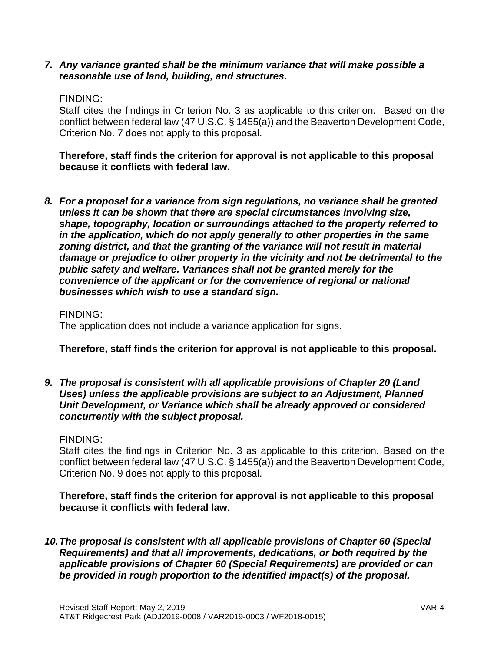*7. Any variance granted shall be the minimum variance that will make possible a reasonable use of land, building, and structures.*

### FINDING:

Staff cites the findings in Criterion No. 3 as applicable to this criterion. Based on the conflict between federal law (47 U.S.C. § 1455(a)) and the Beaverton Development Code, Criterion No. 7 does not apply to this proposal.

**Therefore, staff finds the criterion for approval is not applicable to this proposal because it conflicts with federal law.**

*8. For a proposal for a variance from sign regulations, no variance shall be granted unless it can be shown that there are special circumstances involving size, shape, topography, location or surroundings attached to the property referred to in the application, which do not apply generally to other properties in the same zoning district, and that the granting of the variance will not result in material damage or prejudice to other property in the vicinity and not be detrimental to the public safety and welfare. Variances shall not be granted merely for the convenience of the applicant or for the convenience of regional or national businesses which wish to use a standard sign.*

#### FINDING:

The application does not include a variance application for signs.

## **Therefore, staff finds the criterion for approval is not applicable to this proposal.**

*9. The proposal is consistent with all applicable provisions of Chapter 20 (Land Uses) unless the applicable provisions are subject to an Adjustment, Planned Unit Development, or Variance which shall be already approved or considered concurrently with the subject proposal.*

#### FINDING:

Staff cites the findings in Criterion No. 3 as applicable to this criterion. Based on the conflict between federal law (47 U.S.C. § 1455(a)) and the Beaverton Development Code, Criterion No. 9 does not apply to this proposal.

## **Therefore, staff finds the criterion for approval is not applicable to this proposal because it conflicts with federal law.**

*10.The proposal is consistent with all applicable provisions of Chapter 60 (Special Requirements) and that all improvements, dedications, or both required by the applicable provisions of Chapter 60 (Special Requirements) are provided or can be provided in rough proportion to the identified impact(s) of the proposal.*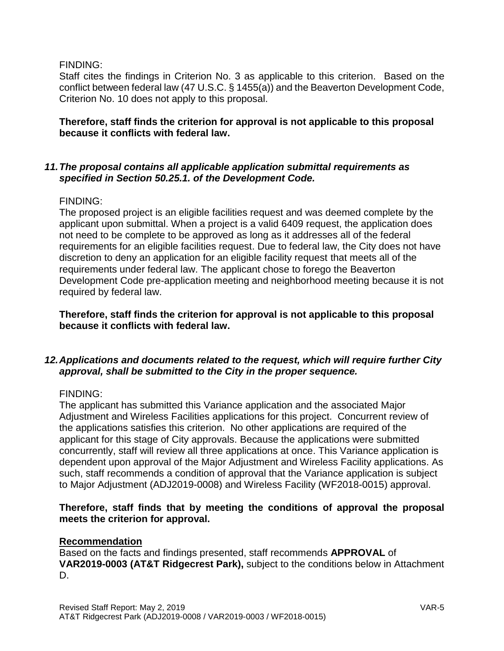FINDING:

Staff cites the findings in Criterion No. 3 as applicable to this criterion. Based on the conflict between federal law (47 U.S.C. § 1455(a)) and the Beaverton Development Code, Criterion No. 10 does not apply to this proposal.

### **Therefore, staff finds the criterion for approval is not applicable to this proposal because it conflicts with federal law.**

### *11.The proposal contains all applicable application submittal requirements as specified in Section 50.25.1. of the Development Code.*

## FINDING:

The proposed project is an eligible facilities request and was deemed complete by the applicant upon submittal. When a project is a valid 6409 request, the application does not need to be complete to be approved as long as it addresses all of the federal requirements for an eligible facilities request. Due to federal law, the City does not have discretion to deny an application for an eligible facility request that meets all of the requirements under federal law. The applicant chose to forego the Beaverton Development Code pre-application meeting and neighborhood meeting because it is not required by federal law.

**Therefore, staff finds the criterion for approval is not applicable to this proposal because it conflicts with federal law.**

# *12.Applications and documents related to the request, which will require further City approval, shall be submitted to the City in the proper sequence.*

#### FINDING:

The applicant has submitted this Variance application and the associated Major Adjustment and Wireless Facilities applications for this project. Concurrent review of the applications satisfies this criterion. No other applications are required of the applicant for this stage of City approvals. Because the applications were submitted concurrently, staff will review all three applications at once. This Variance application is dependent upon approval of the Major Adjustment and Wireless Facility applications. As such, staff recommends a condition of approval that the Variance application is subject to Major Adjustment (ADJ2019-0008) and Wireless Facility (WF2018-0015) approval.

## **Therefore, staff finds that by meeting the conditions of approval the proposal meets the criterion for approval.**

#### **Recommendation**

Based on the facts and findings presented, staff recommends **APPROVAL** of **VAR2019-0003 (AT&T Ridgecrest Park),** subject to the conditions below in Attachment D.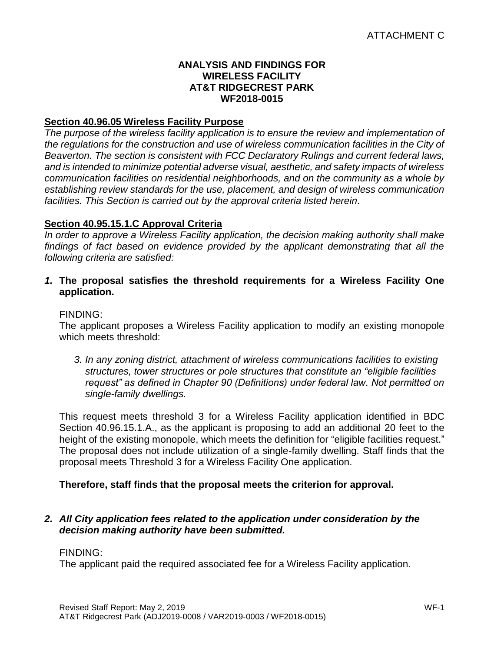### **ANALYSIS AND FINDINGS FOR WIRELESS FACILITY AT&T RIDGECREST PARK WF2018-0015**

## **Section 40.96.05 Wireless Facility Purpose**

*The purpose of the wireless facility application is to ensure the review and implementation of the regulations for the construction and use of wireless communication facilities in the City of Beaverton. The section is consistent with FCC Declaratory Rulings and current federal laws, and is intended to minimize potential adverse visual, aesthetic, and safety impacts of wireless communication facilities on residential neighborhoods, and on the community as a whole by establishing review standards for the use, placement, and design of wireless communication facilities. This Section is carried out by the approval criteria listed herein.*

### **Section 40.95.15.1.C Approval Criteria**

*In order to approve a Wireless Facility application, the decision making authority shall make findings of fact based on evidence provided by the applicant demonstrating that all the following criteria are satisfied:*

*1.* **The proposal satisfies the threshold requirements for a Wireless Facility One application.**

#### FINDING:

The applicant proposes a Wireless Facility application to modify an existing monopole which meets threshold:

*3. In any zoning district, attachment of wireless communications facilities to existing structures, tower structures or pole structures that constitute an "eligible facilities request" as defined in Chapter 90 (Definitions) under federal law. Not permitted on single-family dwellings.*

This request meets threshold 3 for a Wireless Facility application identified in BDC Section 40.96.15.1.A., as the applicant is proposing to add an additional 20 feet to the height of the existing monopole, which meets the definition for "eligible facilities request." The proposal does not include utilization of a single-family dwelling. Staff finds that the proposal meets Threshold 3 for a Wireless Facility One application.

## **Therefore, staff finds that the proposal meets the criterion for approval.**

## *2. All City application fees related to the application under consideration by the decision making authority have been submitted.*

#### FINDING:

The applicant paid the required associated fee for a Wireless Facility application.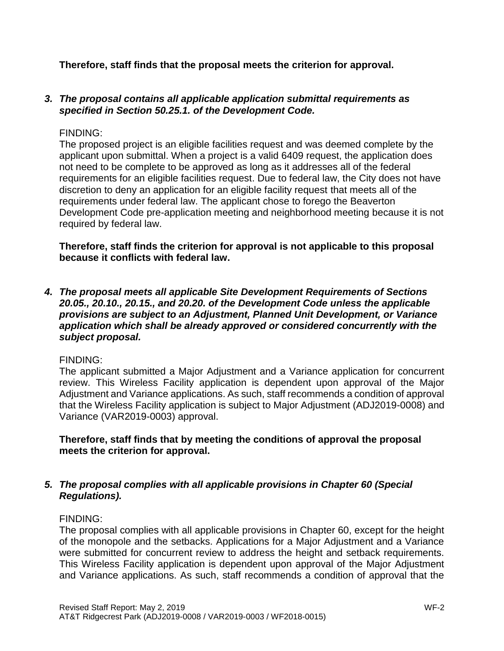**Therefore, staff finds that the proposal meets the criterion for approval.**

## *3. The proposal contains all applicable application submittal requirements as specified in Section 50.25.1. of the Development Code.*

## FINDING:

The proposed project is an eligible facilities request and was deemed complete by the applicant upon submittal. When a project is a valid 6409 request, the application does not need to be complete to be approved as long as it addresses all of the federal requirements for an eligible facilities request. Due to federal law, the City does not have discretion to deny an application for an eligible facility request that meets all of the requirements under federal law. The applicant chose to forego the Beaverton Development Code pre-application meeting and neighborhood meeting because it is not required by federal law.

**Therefore, staff finds the criterion for approval is not applicable to this proposal because it conflicts with federal law.**

*4. The proposal meets all applicable Site Development Requirements of Sections 20.05., 20.10., 20.15., and 20.20. of the Development Code unless the applicable provisions are subject to an Adjustment, Planned Unit Development, or Variance application which shall be already approved or considered concurrently with the subject proposal.* 

## FINDING:

The applicant submitted a Major Adjustment and a Variance application for concurrent review. This Wireless Facility application is dependent upon approval of the Major Adjustment and Variance applications. As such, staff recommends a condition of approval that the Wireless Facility application is subject to Major Adjustment (ADJ2019-0008) and Variance (VAR2019-0003) approval.

**Therefore, staff finds that by meeting the conditions of approval the proposal meets the criterion for approval.**

# *5. The proposal complies with all applicable provisions in Chapter 60 (Special Regulations).*

## FINDING:

The proposal complies with all applicable provisions in Chapter 60, except for the height of the monopole and the setbacks. Applications for a Major Adjustment and a Variance were submitted for concurrent review to address the height and setback requirements. This Wireless Facility application is dependent upon approval of the Major Adjustment and Variance applications. As such, staff recommends a condition of approval that the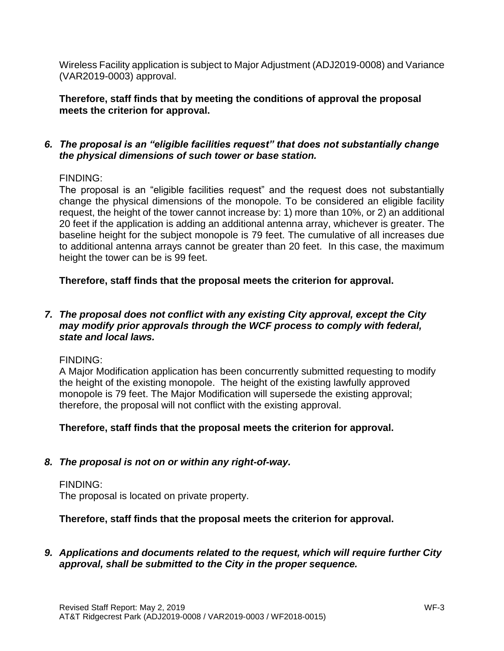Wireless Facility application is subject to Major Adjustment (ADJ2019-0008) and Variance (VAR2019-0003) approval.

**Therefore, staff finds that by meeting the conditions of approval the proposal meets the criterion for approval.**

## *6. The proposal is an "eligible facilities request" that does not substantially change the physical dimensions of such tower or base station.*

## FINDING:

The proposal is an "eligible facilities request" and the request does not substantially change the physical dimensions of the monopole. To be considered an eligible facility request, the height of the tower cannot increase by: 1) more than 10%, or 2) an additional 20 feet if the application is adding an additional antenna array, whichever is greater. The baseline height for the subject monopole is 79 feet. The cumulative of all increases due to additional antenna arrays cannot be greater than 20 feet. In this case, the maximum height the tower can be is 99 feet.

**Therefore, staff finds that the proposal meets the criterion for approval.**

## *7. The proposal does not conflict with any existing City approval, except the City may modify prior approvals through the WCF process to comply with federal, state and local laws.*

## FINDING:

A Major Modification application has been concurrently submitted requesting to modify the height of the existing monopole. The height of the existing lawfully approved monopole is 79 feet. The Major Modification will supersede the existing approval; therefore, the proposal will not conflict with the existing approval.

# **Therefore, staff finds that the proposal meets the criterion for approval.**

## *8. The proposal is not on or within any right-of-way.*

#### FINDING: The proposal is located on private property.

# **Therefore, staff finds that the proposal meets the criterion for approval.**

# *9. Applications and documents related to the request, which will require further City approval, shall be submitted to the City in the proper sequence.*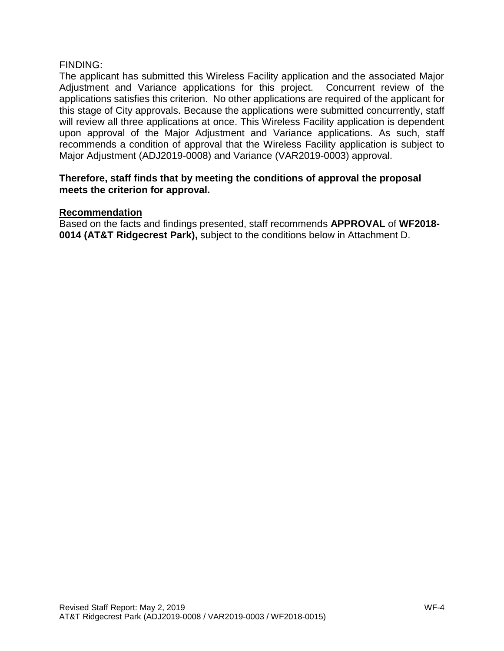### FINDING:

The applicant has submitted this Wireless Facility application and the associated Major Adjustment and Variance applications for this project. Concurrent review of the applications satisfies this criterion. No other applications are required of the applicant for this stage of City approvals. Because the applications were submitted concurrently, staff will review all three applications at once. This Wireless Facility application is dependent upon approval of the Major Adjustment and Variance applications. As such, staff recommends a condition of approval that the Wireless Facility application is subject to Major Adjustment (ADJ2019-0008) and Variance (VAR2019-0003) approval.

### **Therefore, staff finds that by meeting the conditions of approval the proposal meets the criterion for approval.**

### **Recommendation**

Based on the facts and findings presented, staff recommends **APPROVAL** of **WF2018- 0014 (AT&T Ridgecrest Park),** subject to the conditions below in Attachment D.